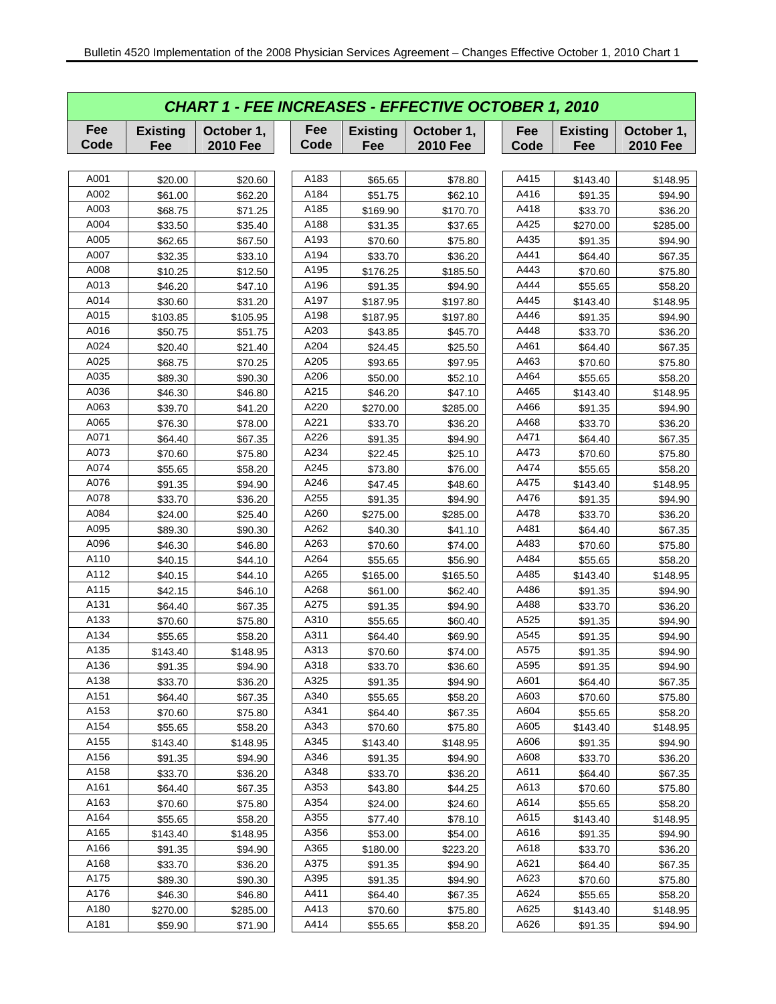| <b>CHART 1 - FEE INCREASES - EFFECTIVE OCTOBER 1, 2010</b> |                        |                               |             |                        |                               |             |                        |                               |  |  |  |
|------------------------------------------------------------|------------------------|-------------------------------|-------------|------------------------|-------------------------------|-------------|------------------------|-------------------------------|--|--|--|
| Fee<br>Code                                                | <b>Existing</b><br>Fee | October 1,<br><b>2010 Fee</b> | Fee<br>Code | <b>Existing</b><br>Fee | October 1,<br><b>2010 Fee</b> | Fee<br>Code | <b>Existing</b><br>Fee | October 1,<br><b>2010 Fee</b> |  |  |  |
|                                                            |                        |                               |             |                        |                               |             |                        |                               |  |  |  |
| A001                                                       | \$20.00                | \$20.60                       | A183        | \$65.65                | \$78.80                       | A415        | \$143.40               | \$148.95                      |  |  |  |
| A002                                                       | \$61.00                | \$62.20                       | A184        | \$51.75                | \$62.10                       | A416        | \$91.35                | \$94.90                       |  |  |  |
| A003                                                       | \$68.75                | \$71.25                       | A185        | \$169.90               | \$170.70                      | A418        | \$33.70                | \$36.20                       |  |  |  |
| A004                                                       | \$33.50                | \$35.40                       | A188        | \$31.35                | \$37.65                       | A425        | \$270.00               | \$285.00                      |  |  |  |
| A005                                                       | \$62.65                | \$67.50                       | A193        | \$70.60                | \$75.80                       | A435        | \$91.35                | \$94.90                       |  |  |  |
| A007                                                       | \$32.35                | \$33.10                       | A194        | \$33.70                | \$36.20                       | A441        | \$64.40                | \$67.35                       |  |  |  |
| A008                                                       | \$10.25                | \$12.50                       | A195        | \$176.25               | \$185.50                      | A443        | \$70.60                | \$75.80                       |  |  |  |
| A013                                                       | \$46.20                | \$47.10                       | A196        | \$91.35                | \$94.90                       | A444        | \$55.65                | \$58.20                       |  |  |  |
| A014                                                       | \$30.60                | \$31.20                       | A197        | \$187.95               | \$197.80                      | A445        | \$143.40               | \$148.95                      |  |  |  |
| A015                                                       | \$103.85               | \$105.95                      | A198        | \$187.95               | \$197.80                      | A446        | \$91.35                | \$94.90                       |  |  |  |
| A016                                                       | \$50.75                | \$51.75                       | A203        | \$43.85                | \$45.70                       | A448        | \$33.70                | \$36.20                       |  |  |  |
| A024                                                       | \$20.40                | \$21.40                       | A204        | \$24.45                | \$25.50                       | A461        | \$64.40                | \$67.35                       |  |  |  |
| A025                                                       | \$68.75                | \$70.25                       | A205        | \$93.65                | \$97.95                       | A463        | \$70.60                | \$75.80                       |  |  |  |
| A035                                                       | \$89.30                | \$90.30                       | A206        | \$50.00                | \$52.10                       | A464        | \$55.65                | \$58.20                       |  |  |  |
| A036                                                       | \$46.30                | \$46.80                       | A215        | \$46.20                | \$47.10                       | A465        | \$143.40               | \$148.95                      |  |  |  |
| A063                                                       | \$39.70                | \$41.20                       | A220        | \$270.00               | \$285.00                      | A466        | \$91.35                | \$94.90                       |  |  |  |
| A065                                                       | \$76.30                | \$78.00                       | A221        | \$33.70                | \$36.20                       | A468        | \$33.70                | \$36.20                       |  |  |  |
| A071                                                       | \$64.40                | \$67.35                       | A226        | \$91.35                | \$94.90                       | A471        | \$64.40                | \$67.35                       |  |  |  |
| A073                                                       | \$70.60                | \$75.80                       | A234        | \$22.45                | \$25.10                       | A473        | \$70.60                | \$75.80                       |  |  |  |
| A074                                                       | \$55.65                | \$58.20                       | A245        | \$73.80                | \$76.00                       | A474        | \$55.65                | \$58.20                       |  |  |  |
| A076                                                       | \$91.35                | \$94.90                       | A246        | \$47.45                | \$48.60                       | A475        | \$143.40               | \$148.95                      |  |  |  |
| A078                                                       | \$33.70                | \$36.20                       | A255        | \$91.35                | \$94.90                       | A476        | \$91.35                | \$94.90                       |  |  |  |
| A084                                                       | \$24.00                | \$25.40                       | A260        | \$275.00               | \$285.00                      | A478        | \$33.70                | \$36.20                       |  |  |  |
| A095                                                       | \$89.30                | \$90.30                       | A262        | \$40.30                | \$41.10                       | A481        | \$64.40                | \$67.35                       |  |  |  |
| A096                                                       | \$46.30                | \$46.80                       | A263        | \$70.60                | \$74.00                       | A483        | \$70.60                | \$75.80                       |  |  |  |
| A110                                                       | \$40.15                | \$44.10                       | A264        | \$55.65                | \$56.90                       | A484        | \$55.65                | \$58.20                       |  |  |  |
| A112                                                       | \$40.15                | \$44.10                       | A265        | \$165.00               | \$165.50                      | A485        | \$143.40               | \$148.95                      |  |  |  |
| A115                                                       | \$42.15                | \$46.10                       | A268        | \$61.00                | \$62.40                       | A486        | \$91.35                | \$94.90                       |  |  |  |
| A131                                                       | \$64.40                | \$67.35                       | A275        | \$91.35                | \$94.90                       | A488        | \$33.70                | \$36.20                       |  |  |  |
| A133                                                       | \$70.60                | \$75.80                       | A310        | \$55.65                | \$60.40                       | A525        | \$91.35                | \$94.90                       |  |  |  |
| A134                                                       | \$55.65                | \$58.20                       | A311        | \$64.40                | \$69.90                       | A545        | \$91.35                | \$94.90                       |  |  |  |
| A135                                                       | \$143.40               | \$148.95                      | A313        | \$70.60                | \$74.00                       | A575        | \$91.35                | \$94.90                       |  |  |  |
| A136                                                       | \$91.35                | \$94.90                       | A318        | \$33.70                | \$36.60                       | A595        | \$91.35                | \$94.90                       |  |  |  |
| A138                                                       | \$33.70                | \$36.20                       | A325        | \$91.35                | \$94.90                       | A601        | \$64.40                | \$67.35                       |  |  |  |
| A151                                                       | \$64.40                | \$67.35                       | A340        | \$55.65                | \$58.20                       | A603        | \$70.60                | \$75.80                       |  |  |  |
| A153                                                       | \$70.60                | \$75.80                       | A341        | \$64.40                | \$67.35                       | A604        | \$55.65                | \$58.20                       |  |  |  |
| A154                                                       | \$55.65                | \$58.20                       | A343        | \$70.60                | \$75.80                       | A605        | \$143.40               | \$148.95                      |  |  |  |
| A155                                                       | \$143.40               | \$148.95                      | A345        | \$143.40               | \$148.95                      | A606        | \$91.35                | \$94.90                       |  |  |  |
| A156                                                       | \$91.35                | \$94.90                       | A346        | \$91.35                | \$94.90                       | A608        | \$33.70                | \$36.20                       |  |  |  |
| A158                                                       | \$33.70                | \$36.20                       | A348        | \$33.70                | \$36.20                       | A611        | \$64.40                | \$67.35                       |  |  |  |
| A161                                                       | \$64.40                | \$67.35                       | A353        | \$43.80                | \$44.25                       | A613        | \$70.60                | \$75.80                       |  |  |  |
| A163                                                       | \$70.60                | \$75.80                       | A354        | \$24.00                | \$24.60                       | A614        | \$55.65                | \$58.20                       |  |  |  |
| A164                                                       | \$55.65                | \$58.20                       | A355        | \$77.40                | \$78.10                       | A615        | \$143.40               | \$148.95                      |  |  |  |
| A165                                                       | \$143.40               | \$148.95                      | A356        | \$53.00                | \$54.00                       | A616        | \$91.35                | \$94.90                       |  |  |  |
| A166                                                       | \$91.35                | \$94.90                       | A365        | \$180.00               | \$223.20                      | A618        | \$33.70                | \$36.20                       |  |  |  |
| A168                                                       | \$33.70                | \$36.20                       | A375        | \$91.35                | \$94.90                       | A621        | \$64.40                | \$67.35                       |  |  |  |
| A175                                                       | \$89.30                | \$90.30                       | A395        | \$91.35                | \$94.90                       | A623        | \$70.60                | \$75.80                       |  |  |  |
| A176                                                       | \$46.30                | \$46.80                       | A411        | \$64.40                | \$67.35                       | A624        | \$55.65                | \$58.20                       |  |  |  |
| A180                                                       | \$270.00               | \$285.00                      | A413        | \$70.60                | \$75.80                       | A625        | \$143.40               | \$148.95                      |  |  |  |
| A181                                                       | \$59.90                | \$71.90                       | A414        | \$55.65                | \$58.20                       | A626        | \$91.35                | \$94.90                       |  |  |  |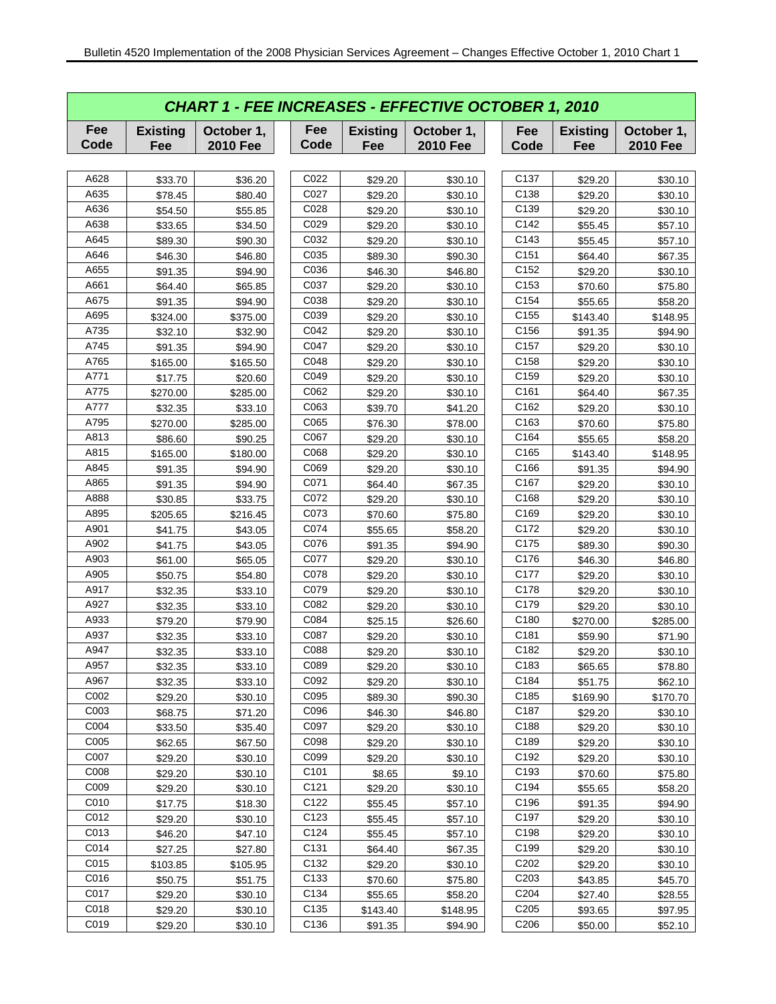|             | <b>CHART 1 - FEE INCREASES - EFFECTIVE OCTOBER 1, 2010</b> |                               |                  |                        |                               |                  |                        |                               |  |  |  |  |  |
|-------------|------------------------------------------------------------|-------------------------------|------------------|------------------------|-------------------------------|------------------|------------------------|-------------------------------|--|--|--|--|--|
| Fee<br>Code | <b>Existing</b><br>Fee                                     | October 1,<br><b>2010 Fee</b> | Fee<br>Code      | <b>Existing</b><br>Fee | October 1,<br><b>2010 Fee</b> | Fee<br>Code      | <b>Existing</b><br>Fee | October 1,<br><b>2010 Fee</b> |  |  |  |  |  |
|             |                                                            |                               |                  |                        |                               |                  |                        |                               |  |  |  |  |  |
| A628        | \$33.70                                                    | \$36.20                       | C022             | \$29.20                | \$30.10                       | C137             | \$29.20                | \$30.10                       |  |  |  |  |  |
| A635        | \$78.45                                                    | \$80.40                       | C027             | \$29.20                | \$30.10                       | C138             | \$29.20                | \$30.10                       |  |  |  |  |  |
| A636        | \$54.50                                                    | \$55.85                       | C028             | \$29.20                | \$30.10                       | C139             | \$29.20                | \$30.10                       |  |  |  |  |  |
| A638        | \$33.65                                                    | \$34.50                       | C029             | \$29.20                | \$30.10                       | C142             | \$55.45                | \$57.10                       |  |  |  |  |  |
| A645        | \$89.30                                                    | \$90.30                       | C032             | \$29.20                | \$30.10                       | C143             | \$55.45                | \$57.10                       |  |  |  |  |  |
| A646        | \$46.30                                                    | \$46.80                       | C035             | \$89.30                | \$90.30                       | C151             | \$64.40                | \$67.35                       |  |  |  |  |  |
| A655        | \$91.35                                                    | \$94.90                       | C036             | \$46.30                | \$46.80                       | C152             | \$29.20                | \$30.10                       |  |  |  |  |  |
| A661        | \$64.40                                                    | \$65.85                       | C037             | \$29.20                | \$30.10                       | C153             | \$70.60                | \$75.80                       |  |  |  |  |  |
| A675        | \$91.35                                                    | \$94.90                       | C038             | \$29.20                | \$30.10                       | C154             | \$55.65                | \$58.20                       |  |  |  |  |  |
| A695        | \$324.00                                                   | \$375.00                      | C039             | \$29.20                | \$30.10                       | C155             | \$143.40               | \$148.95                      |  |  |  |  |  |
| A735        | \$32.10                                                    | \$32.90                       | C042             | \$29.20                | \$30.10                       | C156             | \$91.35                | \$94.90                       |  |  |  |  |  |
| A745        | \$91.35                                                    | \$94.90                       | C047             | \$29.20                | \$30.10                       | C157             | \$29.20                | \$30.10                       |  |  |  |  |  |
| A765        | \$165.00                                                   | \$165.50                      | C048             | \$29.20                | \$30.10                       | C158             | \$29.20                | \$30.10                       |  |  |  |  |  |
| A771        | \$17.75                                                    | \$20.60                       | C049             | \$29.20                | \$30.10                       | C159             | \$29.20                | \$30.10                       |  |  |  |  |  |
| A775        | \$270.00                                                   | \$285.00                      | C062             | \$29.20                | \$30.10                       | C161             | \$64.40                | \$67.35                       |  |  |  |  |  |
| A777        | \$32.35                                                    | \$33.10                       | C063             | \$39.70                | \$41.20                       | C162             | \$29.20                | \$30.10                       |  |  |  |  |  |
| A795        | \$270.00                                                   | \$285.00                      | C065             | \$76.30                | \$78.00                       | C163             | \$70.60                | \$75.80                       |  |  |  |  |  |
| A813        | \$86.60                                                    | \$90.25                       | C067             | \$29.20                | \$30.10                       | C164             | \$55.65                | \$58.20                       |  |  |  |  |  |
| A815        | \$165.00                                                   | \$180.00                      | C068             | \$29.20                | \$30.10                       | C165             | \$143.40               | \$148.95                      |  |  |  |  |  |
| A845        | \$91.35                                                    | \$94.90                       | C069             | \$29.20                | \$30.10                       | C166             | \$91.35                | \$94.90                       |  |  |  |  |  |
| A865        | \$91.35                                                    | \$94.90                       | C071             | \$64.40                | \$67.35                       | C167             | \$29.20                | \$30.10                       |  |  |  |  |  |
| A888        | \$30.85                                                    | \$33.75                       | C072             | \$29.20                | \$30.10                       | C168             | \$29.20                | \$30.10                       |  |  |  |  |  |
| A895        | \$205.65                                                   | \$216.45                      | C073             | \$70.60                | \$75.80                       | C169             | \$29.20                | \$30.10                       |  |  |  |  |  |
| A901        | \$41.75                                                    | \$43.05                       | C074             | \$55.65                | \$58.20                       | C172             | \$29.20                | \$30.10                       |  |  |  |  |  |
| A902        | \$41.75                                                    | \$43.05                       | C076             | \$91.35                | \$94.90                       | C175             | \$89.30                | \$90.30                       |  |  |  |  |  |
| A903        | \$61.00                                                    | \$65.05                       | C077             | \$29.20                | \$30.10                       | C176             | \$46.30                | \$46.80                       |  |  |  |  |  |
| A905        | \$50.75                                                    | \$54.80                       | C078             | \$29.20                | \$30.10                       | C177             | \$29.20                | \$30.10                       |  |  |  |  |  |
| A917        | \$32.35                                                    | \$33.10                       | C079             | \$29.20                | \$30.10                       | C178             | \$29.20                | \$30.10                       |  |  |  |  |  |
| A927        | \$32.35                                                    | \$33.10                       | C082             | \$29.20                | \$30.10                       | C179             | \$29.20                | \$30.10                       |  |  |  |  |  |
| A933        | \$79.20                                                    | \$79.90                       | C084             | \$25.15                | \$26.60                       | C180             | \$270.00               | \$285.00                      |  |  |  |  |  |
| A937        | \$32.35                                                    | \$33.10                       | C087             | \$29.20                | \$30.10                       | C181             | \$59.90                | \$71.90                       |  |  |  |  |  |
| A947        | \$32.35                                                    | \$33.10                       | C088             | \$29.20                | \$30.10                       | C182             | \$29.20                | \$30.10                       |  |  |  |  |  |
| A957        | \$32.35                                                    | \$33.10                       | C089             | \$29.20                | \$30.10                       | C183             | \$65.65                | \$78.80                       |  |  |  |  |  |
| A967        | \$32.35                                                    | \$33.10                       | C092             | \$29.20                | \$30.10                       | C184             | \$51.75                | \$62.10                       |  |  |  |  |  |
| C002        | \$29.20                                                    | \$30.10                       | C095             | \$89.30                | \$90.30                       | C185             | \$169.90               | \$170.70                      |  |  |  |  |  |
| C003        | \$68.75                                                    | \$71.20                       | C096             | \$46.30                | \$46.80                       | C187             | \$29.20                | \$30.10                       |  |  |  |  |  |
| C004        | \$33.50                                                    | \$35.40                       | C097             | \$29.20                | \$30.10                       | C188             | \$29.20                | \$30.10                       |  |  |  |  |  |
| C005        | \$62.65                                                    | \$67.50                       | C098             | \$29.20                | \$30.10                       | C189             | \$29.20                | \$30.10                       |  |  |  |  |  |
| C007        | \$29.20                                                    | \$30.10                       | C099             | \$29.20                | \$30.10                       | C192             | \$29.20                | \$30.10                       |  |  |  |  |  |
| C008        | \$29.20                                                    | \$30.10                       | C <sub>101</sub> | \$8.65                 | \$9.10                        | C193             | \$70.60                | \$75.80                       |  |  |  |  |  |
| C009        | \$29.20                                                    | \$30.10                       | C121             | \$29.20                | \$30.10                       | C194             | \$55.65                | \$58.20                       |  |  |  |  |  |
| C010        | \$17.75                                                    | \$18.30                       | C122             | \$55.45                | \$57.10                       | C196             | \$91.35                | \$94.90                       |  |  |  |  |  |
| C012        | \$29.20                                                    | \$30.10                       | C123             | \$55.45                | \$57.10                       | C197             | \$29.20                | \$30.10                       |  |  |  |  |  |
| C013        | \$46.20                                                    | \$47.10                       | C124             | \$55.45                | \$57.10                       | C198             | \$29.20                | \$30.10                       |  |  |  |  |  |
| C014        | \$27.25                                                    | \$27.80                       | C131             | \$64.40                | \$67.35                       | C199             | \$29.20                | \$30.10                       |  |  |  |  |  |
| C015        | \$103.85                                                   | \$105.95                      | C132             | \$29.20                | \$30.10                       | C <sub>202</sub> | \$29.20                | \$30.10                       |  |  |  |  |  |
| C016        | \$50.75                                                    | \$51.75                       | C133             | \$70.60                | \$75.80                       | C <sub>203</sub> | \$43.85                | \$45.70                       |  |  |  |  |  |
| C017        | \$29.20                                                    | \$30.10                       | C134             | \$55.65                | \$58.20                       | C204             | \$27.40                | \$28.55                       |  |  |  |  |  |
| C018        | \$29.20                                                    | \$30.10                       | C135             | \$143.40               | \$148.95                      | C <sub>205</sub> | \$93.65                | \$97.95                       |  |  |  |  |  |
| C019        | \$29.20                                                    | \$30.10                       | C136             | \$91.35                | \$94.90                       | C206             | \$50.00                | \$52.10                       |  |  |  |  |  |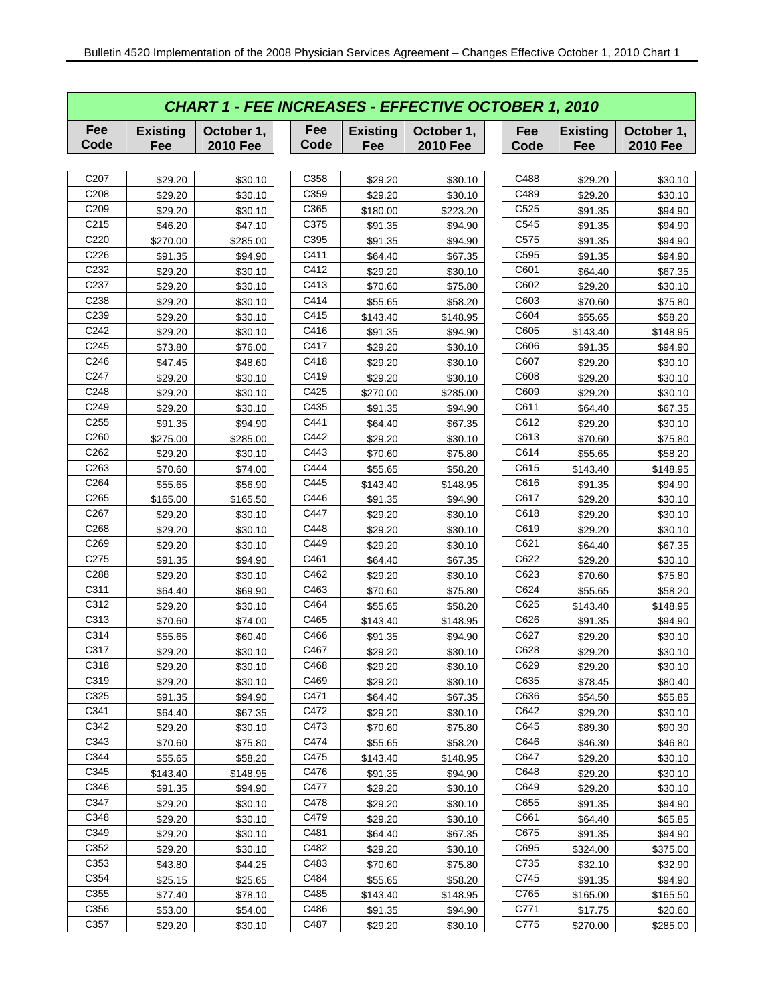|                   | <b>CHART 1 - FEE INCREASES - EFFECTIVE OCTOBER 1, 2010</b> |                               |             |                        |                               |  |             |                        |                               |  |  |  |
|-------------------|------------------------------------------------------------|-------------------------------|-------------|------------------------|-------------------------------|--|-------------|------------------------|-------------------------------|--|--|--|
| Fee<br>Code       | <b>Existing</b><br>Fee                                     | October 1,<br><b>2010 Fee</b> | Fee<br>Code | <b>Existing</b><br>Fee | October 1,<br><b>2010 Fee</b> |  | Fee<br>Code | <b>Existing</b><br>Fee | October 1,<br><b>2010 Fee</b> |  |  |  |
|                   |                                                            |                               |             |                        |                               |  |             |                        |                               |  |  |  |
| C <sub>20</sub> 7 | \$29.20                                                    | \$30.10                       | C358        | \$29.20                | \$30.10                       |  | C488        | \$29.20                | \$30.10                       |  |  |  |
| C208              | \$29.20                                                    | \$30.10                       | C359        | \$29.20                | \$30.10                       |  | C489        | \$29.20                | \$30.10                       |  |  |  |
| C <sub>209</sub>  | \$29.20                                                    | \$30.10                       | C365        | \$180.00               | \$223.20                      |  | C525        | \$91.35                | \$94.90                       |  |  |  |
| C215              | \$46.20                                                    | \$47.10                       | C375        | \$91.35                | \$94.90                       |  | C545        | \$91.35                | \$94.90                       |  |  |  |
| C220              | \$270.00                                                   | \$285.00                      | C395        | \$91.35                | \$94.90                       |  | C575        | \$91.35                | \$94.90                       |  |  |  |
| C226              | \$91.35                                                    | \$94.90                       | C411        | \$64.40                | \$67.35                       |  | C595        | \$91.35                | \$94.90                       |  |  |  |
| C232              | \$29.20                                                    | \$30.10                       | C412        | \$29.20                | \$30.10                       |  | C601        | \$64.40                | \$67.35                       |  |  |  |
| C237              | \$29.20                                                    | \$30.10                       | C413        | \$70.60                | \$75.80                       |  | C602        | \$29.20                | \$30.10                       |  |  |  |
| C238              | \$29.20                                                    | \$30.10                       | C414        | \$55.65                | \$58.20                       |  | C603        | \$70.60                | \$75.80                       |  |  |  |
| C239              | \$29.20                                                    | \$30.10                       | C415        | \$143.40               | \$148.95                      |  | C604        | \$55.65                | \$58.20                       |  |  |  |
| C242              | \$29.20                                                    | \$30.10                       | C416        | \$91.35                | \$94.90                       |  | C605        | \$143.40               | \$148.95                      |  |  |  |
| C <sub>245</sub>  | \$73.80                                                    | \$76.00                       | C417        | \$29.20                | \$30.10                       |  | C606        | \$91.35                | \$94.90                       |  |  |  |
| C246              | \$47.45                                                    | \$48.60                       | C418        | \$29.20                | \$30.10                       |  | C607        | \$29.20                | \$30.10                       |  |  |  |
| C247              | \$29.20                                                    | \$30.10                       | C419        | \$29.20                | \$30.10                       |  | C608        | \$29.20                | \$30.10                       |  |  |  |
| C248              | \$29.20                                                    | \$30.10                       | C425        | \$270.00               | \$285.00                      |  | C609        | \$29.20                | \$30.10                       |  |  |  |
| C249              | \$29.20                                                    | \$30.10                       | C435        | \$91.35                | \$94.90                       |  | C611        | \$64.40                | \$67.35                       |  |  |  |
| C255              | \$91.35                                                    | \$94.90                       | C441        | \$64.40                | \$67.35                       |  | C612        | \$29.20                | \$30.10                       |  |  |  |
| C260              | \$275.00                                                   | \$285.00                      | C442        | \$29.20                | \$30.10                       |  | C613        | \$70.60                | \$75.80                       |  |  |  |
| C262              | \$29.20                                                    | \$30.10                       | C443        | \$70.60                | \$75.80                       |  | C614        | \$55.65                | \$58.20                       |  |  |  |
| C263              | \$70.60                                                    | \$74.00                       | C444        | \$55.65                | \$58.20                       |  | C615        | \$143.40               | \$148.95                      |  |  |  |
| C264              | \$55.65                                                    | \$56.90                       | C445        | \$143.40               | \$148.95                      |  | C616        | \$91.35                | \$94.90                       |  |  |  |
| C <sub>265</sub>  | \$165.00                                                   | \$165.50                      | C446        | \$91.35                | \$94.90                       |  | C617        | \$29.20                | \$30.10                       |  |  |  |
| C267              | \$29.20                                                    | \$30.10                       | C447        | \$29.20                | \$30.10                       |  | C618        | \$29.20                | \$30.10                       |  |  |  |
| C268              | \$29.20                                                    | \$30.10                       | C448        | \$29.20                | \$30.10                       |  | C619        | \$29.20                | \$30.10                       |  |  |  |
| C269              | \$29.20                                                    | \$30.10                       | C449        | \$29.20                | \$30.10                       |  | C621        | \$64.40                | \$67.35                       |  |  |  |
| C275              | \$91.35                                                    | \$94.90                       | C461        | \$64.40                | \$67.35                       |  | C622        | \$29.20                | \$30.10                       |  |  |  |
| C288              | \$29.20                                                    | \$30.10                       | C462        | \$29.20                | \$30.10                       |  | C623        | \$70.60                | \$75.80                       |  |  |  |
| C311              | \$64.40                                                    | \$69.90                       | C463        | \$70.60                | \$75.80                       |  | C624        | \$55.65                | \$58.20                       |  |  |  |
| C312              | \$29.20                                                    | \$30.10                       | C464        | \$55.65                | \$58.20                       |  | C625        | \$143.40               | \$148.95                      |  |  |  |
| C313              | \$70.60                                                    | \$74.00                       | C465        | \$143.40               | \$148.95                      |  | C626        | \$91.35                | \$94.90                       |  |  |  |
| C314              | \$55.65                                                    | \$60.40                       | C466        | \$91.35                | \$94.90                       |  | C627        | \$29.20                | \$30.10                       |  |  |  |
| C317              | \$29.20                                                    | \$30.10                       | C467        | \$29.20                | \$30.10                       |  | C628        | \$29.20                | \$30.10                       |  |  |  |
| C318              | \$29.20                                                    | \$30.10                       | C468        | \$29.20                | \$30.10                       |  | C629        | \$29.20                | \$30.10                       |  |  |  |
| C319              | \$29.20                                                    | \$30.10                       | C469        | \$29.20                | \$30.10                       |  | C635        | \$78.45                | \$80.40                       |  |  |  |
| C325              | \$91.35                                                    | \$94.90                       | C471        | \$64.40                | \$67.35                       |  | C636        | \$54.50                | \$55.85                       |  |  |  |
| C341              | \$64.40                                                    | \$67.35                       | C472        | \$29.20                | \$30.10                       |  | C642        | \$29.20                | \$30.10                       |  |  |  |
| C342              | \$29.20                                                    | \$30.10                       | C473        | \$70.60                | \$75.80                       |  | C645        | \$89.30                | \$90.30                       |  |  |  |
| C343              | \$70.60                                                    | \$75.80                       | C474        | \$55.65                | \$58.20                       |  | C646        | \$46.30                | \$46.80                       |  |  |  |
| C344              | \$55.65                                                    | \$58.20                       | C475        | \$143.40               | \$148.95                      |  | C647        | \$29.20                | \$30.10                       |  |  |  |
| C345              | \$143.40                                                   | \$148.95                      | C476        | \$91.35                | \$94.90                       |  | C648        | \$29.20                | \$30.10                       |  |  |  |
| C346              | \$91.35                                                    | \$94.90                       | C477        | \$29.20                | \$30.10                       |  | C649        | \$29.20                | \$30.10                       |  |  |  |
| C347              | \$29.20                                                    | \$30.10                       | C478        | \$29.20                | \$30.10                       |  | C655        | \$91.35                | \$94.90                       |  |  |  |
| C348              | \$29.20                                                    | \$30.10                       | C479        | \$29.20                | \$30.10                       |  | C661        | \$64.40                | \$65.85                       |  |  |  |
| C349              | \$29.20                                                    | \$30.10                       | C481        | \$64.40                | \$67.35                       |  | C675        | \$91.35                | \$94.90                       |  |  |  |
| C352              | \$29.20                                                    | \$30.10                       | C482        | \$29.20                | \$30.10                       |  | C695        | \$324.00               | \$375.00                      |  |  |  |
| C353              | \$43.80                                                    | \$44.25                       | C483        | \$70.60                | \$75.80                       |  | C735        | \$32.10                | \$32.90                       |  |  |  |
| C354              | \$25.15                                                    | \$25.65                       | C484        | \$55.65                | \$58.20                       |  | C745        | \$91.35                | \$94.90                       |  |  |  |
| C355              | \$77.40                                                    | \$78.10                       | C485        | \$143.40               | \$148.95                      |  | C765        | \$165.00               | \$165.50                      |  |  |  |
| C356              | \$53.00                                                    | \$54.00                       | C486        | \$91.35                | \$94.90                       |  | C771        | \$17.75                | \$20.60                       |  |  |  |
| C357              | \$29.20                                                    | \$30.10                       | C487        | \$29.20                | \$30.10                       |  | C775        | \$270.00               | \$285.00                      |  |  |  |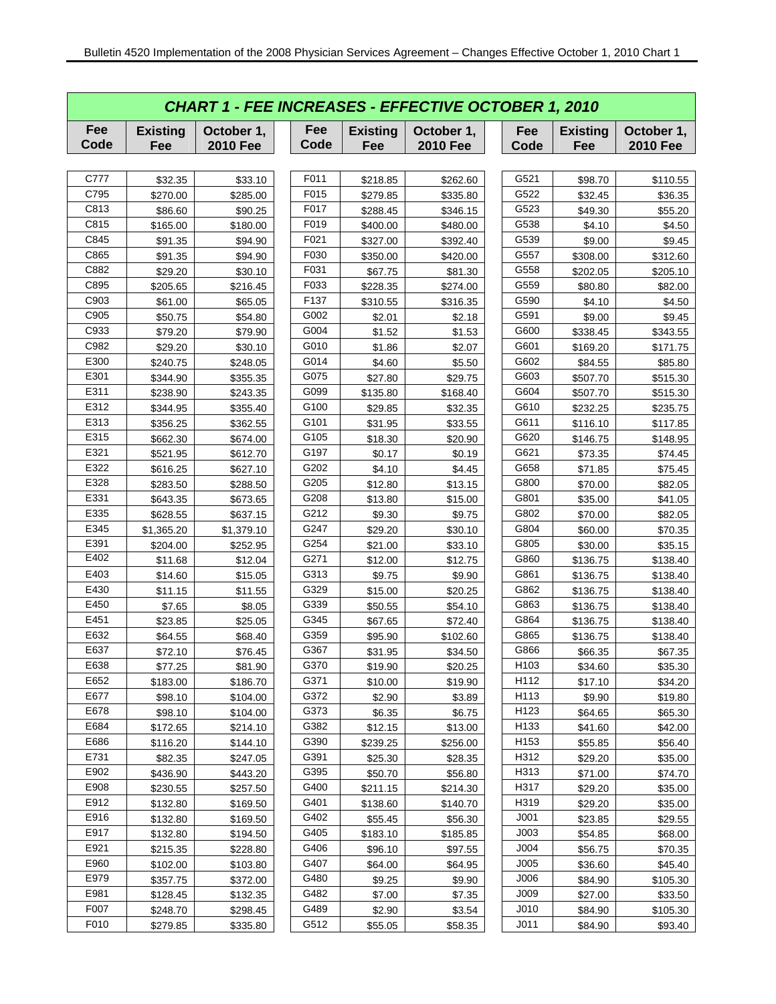|             | <b>CHART 1 - FEE INCREASES - EFFECTIVE OCTOBER 1, 2010</b> |                               |             |                        |                               |                  |                        |                               |  |  |  |  |
|-------------|------------------------------------------------------------|-------------------------------|-------------|------------------------|-------------------------------|------------------|------------------------|-------------------------------|--|--|--|--|
| Fee<br>Code | <b>Existing</b><br>Fee                                     | October 1,<br><b>2010 Fee</b> | Fee<br>Code | <b>Existing</b><br>Fee | October 1,<br><b>2010 Fee</b> | Fee<br>Code      | <b>Existing</b><br>Fee | October 1,<br><b>2010 Fee</b> |  |  |  |  |
|             |                                                            |                               |             |                        |                               |                  |                        |                               |  |  |  |  |
| C777        | \$32.35                                                    | \$33.10                       | F011        | \$218.85               | \$262.60                      | G521             | \$98.70                | \$110.55                      |  |  |  |  |
| C795        | \$270.00                                                   | \$285.00                      | F015        | \$279.85               | \$335.80                      | G522             | \$32.45                | \$36.35                       |  |  |  |  |
| C813        | \$86.60                                                    | \$90.25                       | F017        | \$288.45               | \$346.15                      | G523             | \$49.30                | \$55.20                       |  |  |  |  |
| C815        | \$165.00                                                   | \$180.00                      | F019        | \$400.00               | \$480.00                      | G538             | \$4.10                 | \$4.50                        |  |  |  |  |
| C845        | \$91.35                                                    | \$94.90                       | F021        | \$327.00               | \$392.40                      | G539             | \$9.00                 | \$9.45                        |  |  |  |  |
| C865        | \$91.35                                                    | \$94.90                       | F030        | \$350.00               | \$420.00                      | G557             | \$308.00               | \$312.60                      |  |  |  |  |
| C882        | \$29.20                                                    | \$30.10                       | F031        | \$67.75                | \$81.30                       | G558             | \$202.05               | \$205.10                      |  |  |  |  |
| C895        | \$205.65                                                   | \$216.45                      | F033        | \$228.35               | \$274.00                      | G559             | \$80.80                | \$82.00                       |  |  |  |  |
| C903        | \$61.00                                                    | \$65.05                       | F137        | \$310.55               | \$316.35                      | G590             | \$4.10                 | \$4.50                        |  |  |  |  |
| C905        | \$50.75                                                    | \$54.80                       | G002        | \$2.01                 | \$2.18                        | G591             | \$9.00                 | \$9.45                        |  |  |  |  |
| C933        | \$79.20                                                    | \$79.90                       | G004        | \$1.52                 | \$1.53                        | G600             | \$338.45               | \$343.55                      |  |  |  |  |
| C982        | \$29.20                                                    | \$30.10                       | G010        | \$1.86                 | \$2.07                        | G601             | \$169.20               | \$171.75                      |  |  |  |  |
| E300        | \$240.75                                                   | \$248.05                      | G014        | \$4.60                 | \$5.50                        | G602             | \$84.55                | \$85.80                       |  |  |  |  |
| E301        | \$344.90                                                   | \$355.35                      | G075        | \$27.80                | \$29.75                       | G603             | \$507.70               | \$515.30                      |  |  |  |  |
| E311        | \$238.90                                                   | \$243.35                      | G099        | \$135.80               | \$168.40                      | G604             | \$507.70               | \$515.30                      |  |  |  |  |
| E312        | \$344.95                                                   | \$355.40                      | G100        | \$29.85                | \$32.35                       | G610             | \$232.25               | \$235.75                      |  |  |  |  |
| E313        | \$356.25                                                   | \$362.55                      | G101        | \$31.95                | \$33.55                       | G611             | \$116.10               | \$117.85                      |  |  |  |  |
| E315        | \$662.30                                                   | \$674.00                      | G105        | \$18.30                | \$20.90                       | G620             | \$146.75               | \$148.95                      |  |  |  |  |
| E321        | \$521.95                                                   | \$612.70                      | G197        | \$0.17                 | \$0.19                        | G621             | \$73.35                | \$74.45                       |  |  |  |  |
| E322        | \$616.25                                                   | \$627.10                      | G202        | \$4.10                 | \$4.45                        | G658             | \$71.85                | \$75.45                       |  |  |  |  |
| E328        | \$283.50                                                   | \$288.50                      | G205        | \$12.80                | \$13.15                       | G800             | \$70.00                | \$82.05                       |  |  |  |  |
| E331        | \$643.35                                                   | \$673.65                      | G208        | \$13.80                | \$15.00                       | G801             | \$35.00                | \$41.05                       |  |  |  |  |
| E335        | \$628.55                                                   | \$637.15                      | G212        | \$9.30                 | \$9.75                        | G802             | \$70.00                | \$82.05                       |  |  |  |  |
| E345        | \$1,365.20                                                 | \$1,379.10                    | G247        | \$29.20                | \$30.10                       | G804             | \$60.00                | \$70.35                       |  |  |  |  |
| E391        | \$204.00                                                   | \$252.95                      | G254        | \$21.00                | \$33.10                       | G805             | \$30.00                | \$35.15                       |  |  |  |  |
| E402        | \$11.68                                                    | \$12.04                       | G271        | \$12.00                | \$12.75                       | G860             | \$136.75               | \$138.40                      |  |  |  |  |
| E403        | \$14.60                                                    | \$15.05                       | G313        | \$9.75                 | \$9.90                        | G861             | \$136.75               | \$138.40                      |  |  |  |  |
| E430        | \$11.15                                                    | \$11.55                       | G329        | \$15.00                | \$20.25                       | G862             | \$136.75               | \$138.40                      |  |  |  |  |
| E450        | \$7.65                                                     | \$8.05                        | G339        | \$50.55                | \$54.10                       | G863             | \$136.75               | \$138.40                      |  |  |  |  |
| E451        | \$23.85                                                    | \$25.05                       | G345        | \$67.65                | \$72.40                       | G864             | \$136.75               | \$138.40                      |  |  |  |  |
| E632        | \$64.55                                                    | \$68.40                       | G359        | \$95.90                | \$102.60                      | G865             | \$136.75               | \$138.40                      |  |  |  |  |
| E637        | \$72.10                                                    | \$76.45                       | G367        | \$31.95                | \$34.50                       | G866             | \$66.35                | \$67.35                       |  |  |  |  |
| E638        | \$77.25                                                    | \$81.90                       | G370        | \$19.90                | \$20.25                       | H <sub>103</sub> | \$34.60                | \$35.30                       |  |  |  |  |
| E652        | \$183.00                                                   | \$186.70                      | G371        | \$10.00                | \$19.90                       | H112             | \$17.10                | \$34.20                       |  |  |  |  |
| E677        | \$98.10                                                    | \$104.00                      | G372        | \$2.90                 | \$3.89                        | H113             | \$9.90                 | \$19.80                       |  |  |  |  |
| E678        | \$98.10                                                    | \$104.00                      | G373        | \$6.35                 | \$6.75                        | H123             | \$64.65                | \$65.30                       |  |  |  |  |
| E684        | \$172.65                                                   | \$214.10                      | G382        | \$12.15                | \$13.00                       | H133             | \$41.60                | \$42.00                       |  |  |  |  |
| E686        | \$116.20                                                   | \$144.10                      | G390        | \$239.25               | \$256.00                      | H153             | \$55.85                | \$56.40                       |  |  |  |  |
| E731        | \$82.35                                                    | \$247.05                      | G391        | \$25.30                | \$28.35                       | H312             | \$29.20                | \$35.00                       |  |  |  |  |
| E902        | \$436.90                                                   | \$443.20                      | G395        | \$50.70                | \$56.80                       | H313             | \$71.00                | \$74.70                       |  |  |  |  |
| E908        | \$230.55                                                   | \$257.50                      | G400        | \$211.15               | \$214.30                      | H317             | \$29.20                | \$35.00                       |  |  |  |  |
| E912        | \$132.80                                                   | \$169.50                      | G401        | \$138.60               | \$140.70                      | H319             | \$29.20                | \$35.00                       |  |  |  |  |
| E916        | \$132.80                                                   | \$169.50                      | G402        | \$55.45                | \$56.30                       | J <sub>001</sub> | \$23.85                | \$29.55                       |  |  |  |  |
| E917        | \$132.80                                                   | \$194.50                      | G405        | \$183.10               | \$185.85                      | J003             | \$54.85                | \$68.00                       |  |  |  |  |
| E921        | \$215.35                                                   | \$228.80                      | G406        | \$96.10                | \$97.55                       | J004             | \$56.75                | \$70.35                       |  |  |  |  |
| E960        | \$102.00                                                   | \$103.80                      | G407        | \$64.00                | \$64.95                       | J005             | \$36.60                | \$45.40                       |  |  |  |  |
| E979        | \$357.75                                                   | \$372.00                      | G480        | \$9.25                 | \$9.90                        | J006             | \$84.90                | \$105.30                      |  |  |  |  |
| E981        | \$128.45                                                   | \$132.35                      | G482        | \$7.00                 | \$7.35                        | J009             | \$27.00                | \$33.50                       |  |  |  |  |
| F007        | \$248.70                                                   | \$298.45                      | G489        | \$2.90                 | \$3.54                        | J <sub>010</sub> | \$84.90                | \$105.30                      |  |  |  |  |
| F010        | \$279.85                                                   | \$335.80                      | G512        | \$55.05                | \$58.35                       | J <sub>011</sub> | \$84.90                | \$93.40                       |  |  |  |  |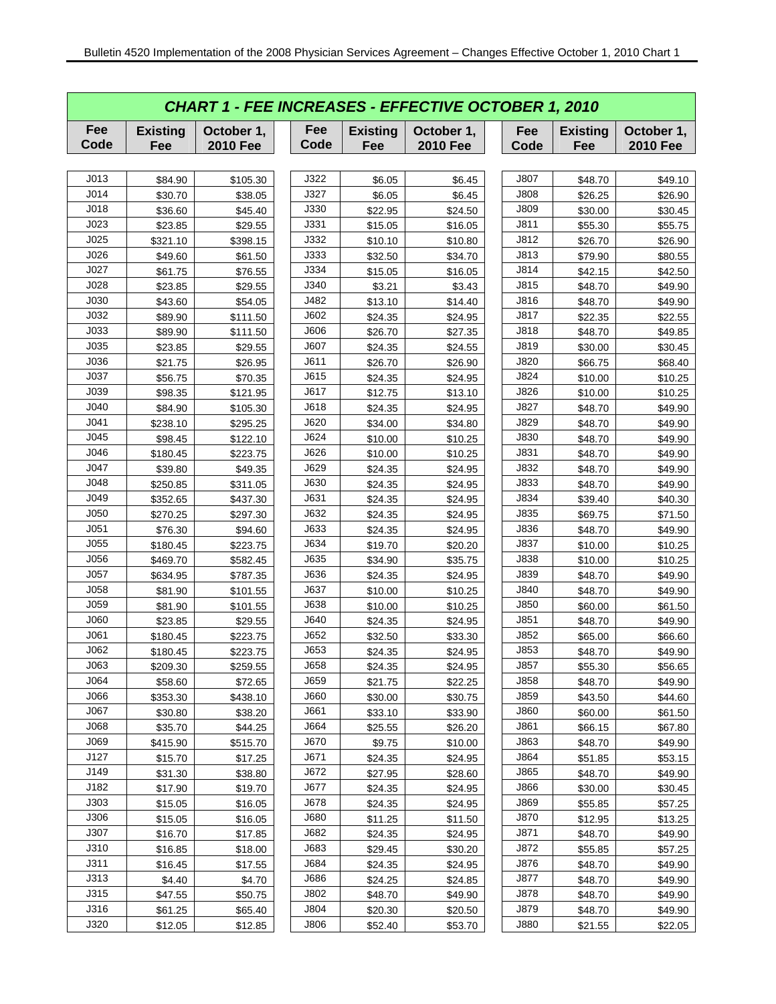| <b>CHART 1 - FEE INCREASES - EFFECTIVE OCTOBER 1, 2010</b> |                        |                               |             |                        |                               |             |                        |                               |  |  |  |
|------------------------------------------------------------|------------------------|-------------------------------|-------------|------------------------|-------------------------------|-------------|------------------------|-------------------------------|--|--|--|
| Fee<br>Code                                                | <b>Existing</b><br>Fee | October 1,<br><b>2010 Fee</b> | Fee<br>Code | <b>Existing</b><br>Fee | October 1,<br><b>2010 Fee</b> | Fee<br>Code | <b>Existing</b><br>Fee | October 1,<br><b>2010 Fee</b> |  |  |  |
|                                                            |                        |                               |             |                        |                               |             |                        |                               |  |  |  |
| J013                                                       | \$84.90                | \$105.30                      | J322        | \$6.05                 | \$6.45                        | J807        | \$48.70                | \$49.10                       |  |  |  |
| J014                                                       | \$30.70                | \$38.05                       | J327        | \$6.05                 | \$6.45                        | J808        | \$26.25                | \$26.90                       |  |  |  |
| J018                                                       | \$36.60                | \$45.40                       | J330        | \$22.95                | \$24.50                       | <b>J809</b> | \$30.00                | \$30.45                       |  |  |  |
| J023                                                       | \$23.85                | \$29.55                       | J331        | \$15.05                | \$16.05                       | J811        | \$55.30                | \$55.75                       |  |  |  |
| J025                                                       | \$321.10               | \$398.15                      | J332        | \$10.10                | \$10.80                       | J812        | \$26.70                | \$26.90                       |  |  |  |
| J026                                                       | \$49.60                | \$61.50                       | J333        | \$32.50                | \$34.70                       | J813        | \$79.90                | \$80.55                       |  |  |  |
| J027                                                       | \$61.75                | \$76.55                       | J334        | \$15.05                | \$16.05                       | J814        | \$42.15                | \$42.50                       |  |  |  |
| J028                                                       | \$23.85                | \$29.55                       | J340        | \$3.21                 | \$3.43                        | J815        | \$48.70                | \$49.90                       |  |  |  |
| J030                                                       | \$43.60                | \$54.05                       | J482        | \$13.10                | \$14.40                       | J816        | \$48.70                | \$49.90                       |  |  |  |
| J032                                                       | \$89.90                | \$111.50                      | J602        | \$24.35                | \$24.95                       | J817        | \$22.35                | \$22.55                       |  |  |  |
| J033                                                       | \$89.90                | \$111.50                      | J606        | \$26.70                | \$27.35                       | J818        | \$48.70                | \$49.85                       |  |  |  |
| J035                                                       | \$23.85                | \$29.55                       | J607        | \$24.35                | \$24.55                       | J819        | \$30.00                | \$30.45                       |  |  |  |
| J036                                                       | \$21.75                | \$26.95                       | J611        | \$26.70                | \$26.90                       | J820        | \$66.75                | \$68.40                       |  |  |  |
| J037                                                       | \$56.75                | \$70.35                       | J615        | \$24.35                | \$24.95                       | J824        | \$10.00                | \$10.25                       |  |  |  |
| J039                                                       | \$98.35                | \$121.95                      | J617        | \$12.75                | \$13.10                       | J826        | \$10.00                | \$10.25                       |  |  |  |
| J040                                                       | \$84.90                | \$105.30                      | J618        | \$24.35                | \$24.95                       | J827        | \$48.70                | \$49.90                       |  |  |  |
| J041                                                       | \$238.10               | \$295.25                      | J620        | \$34.00                | \$34.80                       | J829        | \$48.70                | \$49.90                       |  |  |  |
| J045                                                       | \$98.45                | \$122.10                      | J624        | \$10.00                | \$10.25                       | J830        | \$48.70                | \$49.90                       |  |  |  |
| J046                                                       | \$180.45               | \$223.75                      | J626        | \$10.00                | \$10.25                       | J831        | \$48.70                | \$49.90                       |  |  |  |
| J047                                                       | \$39.80                | \$49.35                       | J629        | \$24.35                | \$24.95                       | J832        | \$48.70                | \$49.90                       |  |  |  |
| J048                                                       | \$250.85               | \$311.05                      | J630        | \$24.35                | \$24.95                       | J833        | \$48.70                | \$49.90                       |  |  |  |
| J049                                                       | \$352.65               | \$437.30                      | J631        | \$24.35                | \$24.95                       | J834        | \$39.40                | \$40.30                       |  |  |  |
| J050                                                       | \$270.25               | \$297.30                      | J632        | \$24.35                | \$24.95                       | J835        | \$69.75                | \$71.50                       |  |  |  |
| J051                                                       | \$76.30                | \$94.60                       | J633        | \$24.35                | \$24.95                       | J836        | \$48.70                | \$49.90                       |  |  |  |
| J055                                                       | \$180.45               | \$223.75                      | J634        | \$19.70                | \$20.20                       | J837        | \$10.00                | \$10.25                       |  |  |  |
| J056                                                       | \$469.70               | \$582.45                      | J635        | \$34.90                | \$35.75                       | J838        | \$10.00                | \$10.25                       |  |  |  |
| J057                                                       | \$634.95               | \$787.35                      | J636        | \$24.35                | \$24.95                       | J839        | \$48.70                | \$49.90                       |  |  |  |
| J058                                                       | \$81.90                | \$101.55                      | J637        | \$10.00                | \$10.25                       | J840        | \$48.70                | \$49.90                       |  |  |  |
| J059                                                       | \$81.90                | \$101.55                      | J638        | \$10.00                | \$10.25                       | J850        | \$60.00                | \$61.50                       |  |  |  |
| J060                                                       | \$23.85                | \$29.55                       | J640        | \$24.35                | \$24.95                       | J851        | \$48.70                | \$49.90                       |  |  |  |
| J061                                                       | \$180.45               | \$223.75                      | J652        | \$32.50                | \$33.30                       | J852        | \$65.00                | \$66.60                       |  |  |  |
| J062                                                       | \$180.45               | \$223.75                      | J653        | \$24.35                | \$24.95                       | J853        | \$48.70                | \$49.90                       |  |  |  |
| J063                                                       | \$209.30               | \$259.55                      | J658        | \$24.35                | \$24.95                       | J857        | \$55.30                | \$56.65                       |  |  |  |
| J064                                                       | \$58.60                | \$72.65                       | J659        | \$21.75                | \$22.25                       | J858        | \$48.70                | \$49.90                       |  |  |  |
| J066                                                       | \$353.30               | \$438.10                      | J660        | \$30.00                | \$30.75                       | J859        | \$43.50                | \$44.60                       |  |  |  |
| J067                                                       | \$30.80                | \$38.20                       | J661        | \$33.10                | \$33.90                       | J860        | \$60.00                | \$61.50                       |  |  |  |
| J068                                                       | \$35.70                | \$44.25                       | J664        | \$25.55                | \$26.20                       | J861        | \$66.15                | \$67.80                       |  |  |  |
| J069                                                       | \$415.90               | \$515.70                      | J670        | \$9.75                 | \$10.00                       | J863        | \$48.70                | \$49.90                       |  |  |  |
| J127                                                       | \$15.70                | \$17.25                       | J671        | \$24.35                | \$24.95                       | J864        | \$51.85                | \$53.15                       |  |  |  |
| J149                                                       | \$31.30                | \$38.80                       | J672        | \$27.95                | \$28.60                       | J865        | \$48.70                | \$49.90                       |  |  |  |
| J182                                                       | \$17.90                | \$19.70                       | J677        | \$24.35                | \$24.95                       | J866        | \$30.00                | \$30.45                       |  |  |  |
| J303                                                       | \$15.05                | \$16.05                       | J678        | \$24.35                | \$24.95                       | J869        | \$55.85                | \$57.25                       |  |  |  |
| J306                                                       | \$15.05                | \$16.05                       | J680        | \$11.25                | \$11.50                       | J870        | \$12.95                | \$13.25                       |  |  |  |
| J307                                                       | \$16.70                | \$17.85                       | J682        | \$24.35                | \$24.95                       | J871        | \$48.70                | \$49.90                       |  |  |  |
| J310                                                       | \$16.85                | \$18.00                       | J683        | \$29.45                | \$30.20                       | J872        | \$55.85                | \$57.25                       |  |  |  |
| J311                                                       | \$16.45                | \$17.55                       | J684        | \$24.35                | \$24.95                       | J876        | \$48.70                | \$49.90                       |  |  |  |
| J313                                                       | \$4.40                 | \$4.70                        | J686        | \$24.25                | \$24.85                       | J877        | \$48.70                | \$49.90                       |  |  |  |
| J315                                                       | \$47.55                | \$50.75                       | J802        | \$48.70                | \$49.90                       | J878        | \$48.70                | \$49.90                       |  |  |  |
| J316                                                       | \$61.25                | \$65.40                       | J804        | \$20.30                | \$20.50                       | J879        | \$48.70                | \$49.90                       |  |  |  |
| J320                                                       | \$12.05                | \$12.85                       | J806        | \$52.40                | \$53.70                       | J880        | \$21.55                | \$22.05                       |  |  |  |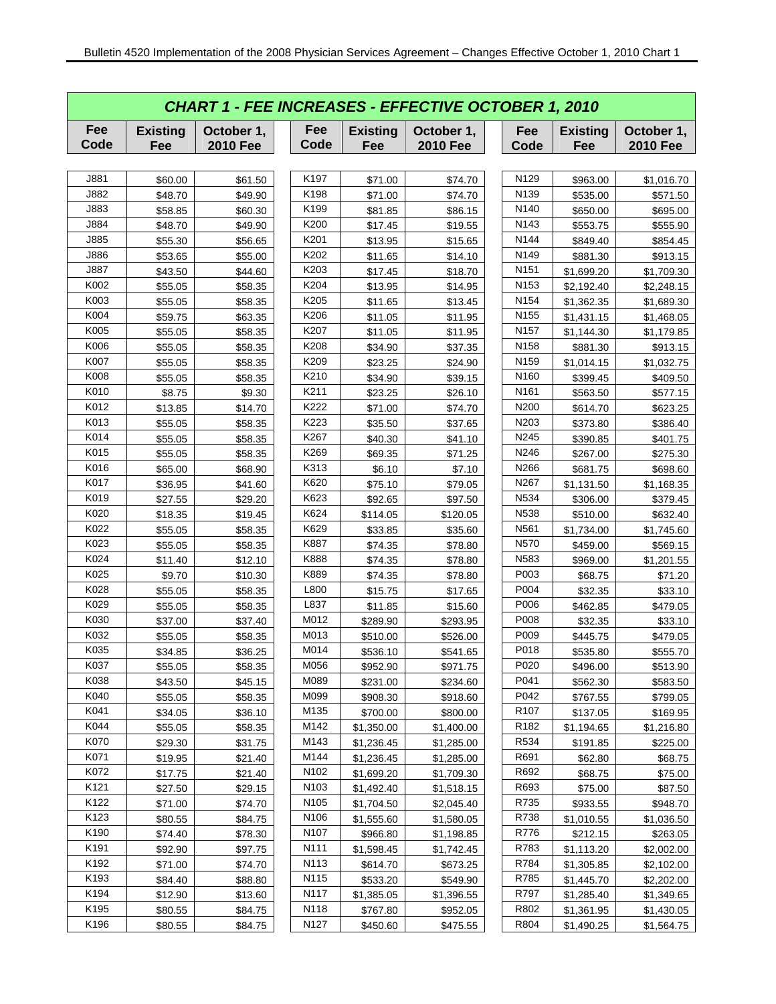|             | <b>CHART 1 - FEE INCREASES - EFFECTIVE OCTOBER 1, 2010</b> |                               |             |                        |                               |                  |  |                        |                               |  |  |  |
|-------------|------------------------------------------------------------|-------------------------------|-------------|------------------------|-------------------------------|------------------|--|------------------------|-------------------------------|--|--|--|
| Fee<br>Code | <b>Existing</b><br>Fee                                     | October 1,<br><b>2010 Fee</b> | Fee<br>Code | <b>Existing</b><br>Fee | October 1,<br><b>2010 Fee</b> | Fee<br>Code      |  | <b>Existing</b><br>Fee | October 1,<br><b>2010 Fee</b> |  |  |  |
|             |                                                            |                               |             |                        |                               |                  |  |                        |                               |  |  |  |
| J881        | \$60.00                                                    | \$61.50                       | K197        | \$71.00                | \$74.70                       | N <sub>129</sub> |  | \$963.00               | \$1,016.70                    |  |  |  |
| J882        | \$48.70                                                    | \$49.90                       | K198        | \$71.00                | \$74.70                       | N139             |  | \$535.00               | \$571.50                      |  |  |  |
| J883        | \$58.85                                                    | \$60.30                       | K199        | \$81.85                | \$86.15                       | N <sub>140</sub> |  | \$650.00               | \$695.00                      |  |  |  |
| J884        | \$48.70                                                    | \$49.90                       | K200        | \$17.45                | \$19.55                       | N143             |  | \$553.75               | \$555.90                      |  |  |  |
| J885        | \$55.30                                                    | \$56.65                       | K201        | \$13.95                | \$15.65                       | N144             |  | \$849.40               | \$854.45                      |  |  |  |
| J886        | \$53.65                                                    | \$55.00                       | K202        | \$11.65                | \$14.10                       | N149             |  | \$881.30               | \$913.15                      |  |  |  |
| J887        | \$43.50                                                    | \$44.60                       | K203        | \$17.45                | \$18.70                       | N <sub>151</sub> |  | \$1,699.20             | \$1,709.30                    |  |  |  |
| K002        | \$55.05                                                    | \$58.35                       | K204        | \$13.95                | \$14.95                       | N <sub>153</sub> |  | \$2,192.40             | \$2,248.15                    |  |  |  |
| K003        | \$55.05                                                    | \$58.35                       | K205        | \$11.65                | \$13.45                       | N <sub>154</sub> |  | \$1,362.35             | \$1,689.30                    |  |  |  |
| K004        | \$59.75                                                    | \$63.35                       | K206        | \$11.05                | \$11.95                       | N <sub>155</sub> |  | \$1,431.15             | \$1,468.05                    |  |  |  |
| K005        | \$55.05                                                    | \$58.35                       | K207        | \$11.05                | \$11.95                       | N <sub>157</sub> |  | \$1,144.30             | \$1,179.85                    |  |  |  |
| K006        | \$55.05                                                    | \$58.35                       | K208        | \$34.90                | \$37.35                       | N <sub>158</sub> |  | \$881.30               | \$913.15                      |  |  |  |
| K007        | \$55.05                                                    | \$58.35                       | K209        | \$23.25                | \$24.90                       | N <sub>159</sub> |  | \$1,014.15             | \$1,032.75                    |  |  |  |
| K008        | \$55.05                                                    | \$58.35                       | K210        | \$34.90                | \$39.15                       | N <sub>160</sub> |  | \$399.45               | \$409.50                      |  |  |  |
| K010        | \$8.75                                                     | \$9.30                        | K211        | \$23.25                | \$26.10                       | N <sub>161</sub> |  | \$563.50               | \$577.15                      |  |  |  |
| K012        | \$13.85                                                    | \$14.70                       | K222        | \$71.00                | \$74.70                       | N200             |  | \$614.70               | \$623.25                      |  |  |  |
| K013        | \$55.05                                                    | \$58.35                       | K223        | \$35.50                | \$37.65                       | N203             |  | \$373.80               | \$386.40                      |  |  |  |
| K014        | \$55.05                                                    | \$58.35                       | K267        | \$40.30                | \$41.10                       | N245             |  | \$390.85               | \$401.75                      |  |  |  |
| K015        | \$55.05                                                    | \$58.35                       | K269        | \$69.35                | \$71.25                       | N246             |  | \$267.00               | \$275.30                      |  |  |  |
| K016        | \$65.00                                                    | \$68.90                       | K313        | \$6.10                 | \$7.10                        | N266             |  | \$681.75               | \$698.60                      |  |  |  |
| K017        | \$36.95                                                    | \$41.60                       | K620        | \$75.10                | \$79.05                       | N267             |  | \$1,131.50             | \$1,168.35                    |  |  |  |
| K019        | \$27.55                                                    | \$29.20                       | K623        | \$92.65                | \$97.50                       | N534             |  | \$306.00               | \$379.45                      |  |  |  |
| K020        | \$18.35                                                    | \$19.45                       | K624        | \$114.05               | \$120.05                      | N538             |  | \$510.00               | \$632.40                      |  |  |  |
| K022        | \$55.05                                                    | \$58.35                       | K629        | \$33.85                | \$35.60                       | N <sub>561</sub> |  | \$1,734.00             | \$1,745.60                    |  |  |  |
| K023        | \$55.05                                                    | \$58.35                       | K887        | \$74.35                | \$78.80                       | N570             |  | \$459.00               | \$569.15                      |  |  |  |
| K024        | \$11.40                                                    | \$12.10                       | K888        | \$74.35                | \$78.80                       | N <sub>583</sub> |  | \$969.00               | \$1,201.55                    |  |  |  |
| K025        | \$9.70                                                     | \$10.30                       | K889        | \$74.35                | \$78.80                       | P003             |  | \$68.75                | \$71.20                       |  |  |  |
| K028        | \$55.05                                                    | \$58.35                       | L800        | \$15.75                | \$17.65                       | P004             |  | \$32.35                | \$33.10                       |  |  |  |
| K029        | \$55.05                                                    | \$58.35                       | L837        | \$11.85                | \$15.60                       | P006             |  | \$462.85               | \$479.05                      |  |  |  |
| K030        | \$37.00                                                    | \$37.40                       | M012        | \$289.90               | \$293.95                      | P008             |  | \$32.35                | \$33.10                       |  |  |  |
| K032        | \$55.05                                                    | \$58.35                       | M013        | \$510.00               | \$526.00                      | P009             |  | \$445.75               | \$479.05                      |  |  |  |
| K035        | \$34.85                                                    | \$36.25                       | M014        | \$536.10               | \$541.65                      | P018             |  | \$535.80               | \$555.70                      |  |  |  |
| K037        | \$55.05                                                    | \$58.35                       | M056        | \$952.90               | \$971.75                      | P020             |  | \$496.00               | \$513.90                      |  |  |  |
| K038        | \$43.50                                                    | \$45.15                       | M089        | \$231.00               | \$234.60                      | P041             |  | \$562.30               | \$583.50                      |  |  |  |
| K040        | \$55.05                                                    | \$58.35                       | M099        | \$908.30               | \$918.60                      | P042             |  | \$767.55               | \$799.05                      |  |  |  |
| K041        | \$34.05                                                    | \$36.10                       | M135        | \$700.00               | \$800.00                      | R <sub>107</sub> |  | \$137.05               | \$169.95                      |  |  |  |
| K044        | \$55.05                                                    | \$58.35                       | M142        | \$1,350.00             | \$1,400.00                    | R <sub>182</sub> |  | \$1,194.65             | \$1,216.80                    |  |  |  |
| K070        | \$29.30                                                    | \$31.75                       | M143        | \$1,236.45             | \$1,285.00                    | R534             |  | \$191.85               | \$225.00                      |  |  |  |
| K071        | \$19.95                                                    | \$21.40                       | M144        | \$1,236.45             | \$1,285.00                    | R691             |  | \$62.80                | \$68.75                       |  |  |  |
| K072        | \$17.75                                                    | \$21.40                       | N102        | \$1,699.20             | \$1,709.30                    | R692             |  | \$68.75                | \$75.00                       |  |  |  |
| K121        | \$27.50                                                    | \$29.15                       | N103        | \$1,492.40             | \$1,518.15                    | R693             |  | \$75.00                | \$87.50                       |  |  |  |
| K122        | \$71.00                                                    | \$74.70                       | N105        | \$1,704.50             | \$2,045.40                    | R735             |  | \$933.55               | \$948.70                      |  |  |  |
| K123        | \$80.55                                                    | \$84.75                       | N106        | \$1,555.60             | \$1,580.05                    | R738             |  | \$1,010.55             | \$1,036.50                    |  |  |  |
| K190        | \$74.40                                                    | \$78.30                       | N107        | \$966.80               | \$1,198.85                    | R776             |  | \$212.15               | \$263.05                      |  |  |  |
| K191        | \$92.90                                                    | \$97.75                       | N111        | \$1,598.45             | \$1,742.45                    | R783             |  | \$1,113.20             | \$2,002.00                    |  |  |  |
| K192        | \$71.00                                                    | \$74.70                       | N113        | \$614.70               | \$673.25                      | R784             |  | \$1,305.85             | \$2,102.00                    |  |  |  |
| K193        | \$84.40                                                    | \$88.80                       | N115        | \$533.20               | \$549.90                      | R785             |  | \$1,445.70             | \$2,202.00                    |  |  |  |
| K194        | \$12.90                                                    | \$13.60                       | N117        | \$1,385.05             | \$1,396.55                    | R797             |  | \$1,285.40             | \$1,349.65                    |  |  |  |
| K195        | \$80.55                                                    | \$84.75                       | N118        | \$767.80               | \$952.05                      | R802             |  | \$1,361.95             | \$1,430.05                    |  |  |  |
| K196        | \$80.55                                                    | \$84.75                       | N127        | \$450.60               | \$475.55                      | R804             |  | \$1,490.25             | \$1,564.75                    |  |  |  |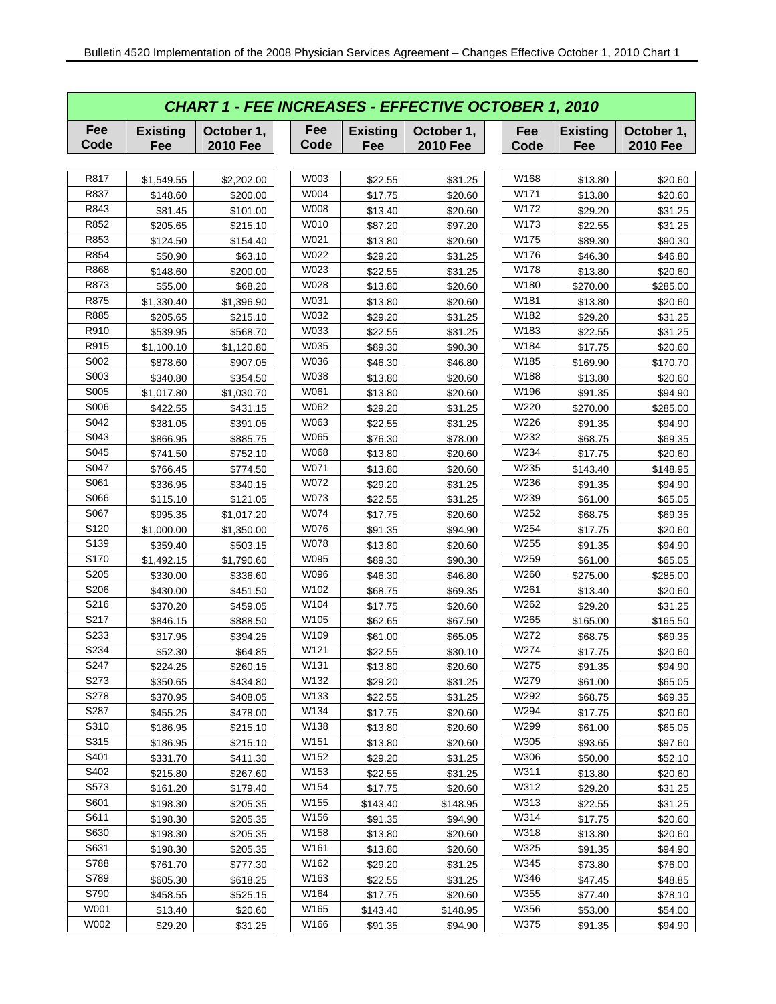|                  | <b>CHART 1 - FEE INCREASES - EFFECTIVE OCTOBER 1, 2010</b> |                               |             |                        |                               |  |             |                        |                               |  |  |  |  |
|------------------|------------------------------------------------------------|-------------------------------|-------------|------------------------|-------------------------------|--|-------------|------------------------|-------------------------------|--|--|--|--|
| Fee<br>Code      | <b>Existing</b><br>Fee                                     | October 1,<br><b>2010 Fee</b> | Fee<br>Code | <b>Existing</b><br>Fee | October 1,<br><b>2010 Fee</b> |  | Fee<br>Code | <b>Existing</b><br>Fee | October 1,<br><b>2010 Fee</b> |  |  |  |  |
|                  |                                                            |                               |             |                        |                               |  |             |                        |                               |  |  |  |  |
| R817             | \$1,549.55                                                 | \$2,202.00                    | W003        | \$22.55                | \$31.25                       |  | W168        | \$13.80                | \$20.60                       |  |  |  |  |
| R837             | \$148.60                                                   | \$200.00                      | W004        | \$17.75                | \$20.60                       |  | W171        | \$13.80                | \$20.60                       |  |  |  |  |
| R843             | \$81.45                                                    | \$101.00                      | W008        | \$13.40                | \$20.60                       |  | W172        | \$29.20                | \$31.25                       |  |  |  |  |
| R852             | \$205.65                                                   | \$215.10                      | W010        | \$87.20                | \$97.20                       |  | W173        | \$22.55                | \$31.25                       |  |  |  |  |
| R853             | \$124.50                                                   | \$154.40                      | W021        | \$13.80                | \$20.60                       |  | W175        | \$89.30                | \$90.30                       |  |  |  |  |
| R854             | \$50.90                                                    | \$63.10                       | W022        | \$29.20                | \$31.25                       |  | W176        | \$46.30                | \$46.80                       |  |  |  |  |
| R868             | \$148.60                                                   | \$200.00                      | W023        | \$22.55                | \$31.25                       |  | W178        | \$13.80                | \$20.60                       |  |  |  |  |
| R873             | \$55.00                                                    | \$68.20                       | W028        | \$13.80                | \$20.60                       |  | W180        | \$270.00               | \$285.00                      |  |  |  |  |
| R875             | \$1,330.40                                                 | \$1,396.90                    | W031        | \$13.80                | \$20.60                       |  | W181        | \$13.80                | \$20.60                       |  |  |  |  |
| R885             | \$205.65                                                   | \$215.10                      | W032        | \$29.20                | \$31.25                       |  | W182        | \$29.20                | \$31.25                       |  |  |  |  |
| R910             | \$539.95                                                   | \$568.70                      | W033        | \$22.55                | \$31.25                       |  | W183        | \$22.55                | \$31.25                       |  |  |  |  |
| R915             | \$1,100.10                                                 | \$1,120.80                    | W035        | \$89.30                | \$90.30                       |  | W184        | \$17.75                | \$20.60                       |  |  |  |  |
| S002             | \$878.60                                                   | \$907.05                      | W036        | \$46.30                | \$46.80                       |  | W185        | \$169.90               | \$170.70                      |  |  |  |  |
| S003             | \$340.80                                                   | \$354.50                      | W038        | \$13.80                | \$20.60                       |  | W188        | \$13.80                | \$20.60                       |  |  |  |  |
| S005             | \$1,017.80                                                 | \$1,030.70                    | W061        | \$13.80                | \$20.60                       |  | W196        | \$91.35                | \$94.90                       |  |  |  |  |
| S006             | \$422.55                                                   | \$431.15                      | W062        | \$29.20                | \$31.25                       |  | W220        | \$270.00               | \$285.00                      |  |  |  |  |
| S042             | \$381.05                                                   | \$391.05                      | W063        | \$22.55                | \$31.25                       |  | W226        | \$91.35                | \$94.90                       |  |  |  |  |
| S043             | \$866.95                                                   | \$885.75                      | W065        | \$76.30                | \$78.00                       |  | W232        | \$68.75                | \$69.35                       |  |  |  |  |
| S045             | \$741.50                                                   | \$752.10                      | W068        | \$13.80                | \$20.60                       |  | W234        | \$17.75                | \$20.60                       |  |  |  |  |
| S047             | \$766.45                                                   | \$774.50                      | W071        | \$13.80                | \$20.60                       |  | W235        | \$143.40               | \$148.95                      |  |  |  |  |
| S061             | \$336.95                                                   | \$340.15                      | W072        | \$29.20                | \$31.25                       |  | W236        | \$91.35                | \$94.90                       |  |  |  |  |
| S066             | \$115.10                                                   | \$121.05                      | W073        | \$22.55                | \$31.25                       |  | W239        | \$61.00                | \$65.05                       |  |  |  |  |
| S067             | \$995.35                                                   | \$1,017.20                    | W074        | \$17.75                | \$20.60                       |  | W252        | \$68.75                | \$69.35                       |  |  |  |  |
| S <sub>120</sub> | \$1,000.00                                                 | \$1,350.00                    | W076        | \$91.35                | \$94.90                       |  | W254        | \$17.75                | \$20.60                       |  |  |  |  |
| S139             | \$359.40                                                   | \$503.15                      | W078        | \$13.80                | \$20.60                       |  | W255        | \$91.35                | \$94.90                       |  |  |  |  |
| S <sub>170</sub> | \$1,492.15                                                 | \$1,790.60                    | W095        | \$89.30                | \$90.30                       |  | W259        | \$61.00                | \$65.05                       |  |  |  |  |
| S205             | \$330.00                                                   | \$336.60                      | W096        | \$46.30                | \$46.80                       |  | W260        | \$275.00               | \$285.00                      |  |  |  |  |
| S206             | \$430.00                                                   | \$451.50                      | W102        | \$68.75                | \$69.35                       |  | W261        | \$13.40                | \$20.60                       |  |  |  |  |
| S216             | \$370.20                                                   | \$459.05                      | W104        | \$17.75                | \$20.60                       |  | W262        | \$29.20                | \$31.25                       |  |  |  |  |
| S217             | \$846.15                                                   | \$888.50                      | W105        | \$62.65                | \$67.50                       |  | W265        | \$165.00               | \$165.50                      |  |  |  |  |
| S233             | \$317.95                                                   | \$394.25                      | W109        | \$61.00                | \$65.05                       |  | W272        | \$68.75                | \$69.35                       |  |  |  |  |
| S234             | \$52.30                                                    | \$64.85                       | W121        | \$22.55                | \$30.10                       |  | W274        | \$17.75                | \$20.60                       |  |  |  |  |
| S247             | \$224.25                                                   | \$260.15                      | W131        | \$13.80                | \$20.60                       |  | W275        | \$91.35                | \$94.90                       |  |  |  |  |
| S273             | \$350.65                                                   | \$434.80                      | W132        | \$29.20                | \$31.25                       |  | W279        | \$61.00                | \$65.05                       |  |  |  |  |
| S278             | \$370.95                                                   | \$408.05                      | W133        | \$22.55                | \$31.25                       |  | W292        | \$68.75                | \$69.35                       |  |  |  |  |
| S287             | \$455.25                                                   | \$478.00                      | W134        | \$17.75                | \$20.60                       |  | W294        | \$17.75                | \$20.60                       |  |  |  |  |
| S310             | \$186.95                                                   | \$215.10                      | W138        | \$13.80                | \$20.60                       |  | W299        | \$61.00                | \$65.05                       |  |  |  |  |
| S315             | \$186.95                                                   | \$215.10                      | W151        | \$13.80                | \$20.60                       |  | W305        | \$93.65                | \$97.60                       |  |  |  |  |
| S401             | \$331.70                                                   | \$411.30                      | W152        | \$29.20                | \$31.25                       |  | W306        | \$50.00                | \$52.10                       |  |  |  |  |
| S402             | \$215.80                                                   | \$267.60                      | W153        | \$22.55                | \$31.25                       |  | W311        | \$13.80                | \$20.60                       |  |  |  |  |
| S573             | \$161.20                                                   | \$179.40                      | W154        | \$17.75                | \$20.60                       |  | W312        | \$29.20                | \$31.25                       |  |  |  |  |
| S601             | \$198.30                                                   | \$205.35                      | W155        | \$143.40               | \$148.95                      |  | W313        | \$22.55                | \$31.25                       |  |  |  |  |
| S611             | \$198.30                                                   | \$205.35                      | W156        | \$91.35                | \$94.90                       |  | W314        | \$17.75                | \$20.60                       |  |  |  |  |
| S630             | \$198.30                                                   | \$205.35                      | W158        | \$13.80                | \$20.60                       |  | W318        | \$13.80                | \$20.60                       |  |  |  |  |
| S631             | \$198.30                                                   | \$205.35                      | W161        | \$13.80                | \$20.60                       |  | W325        | \$91.35                | \$94.90                       |  |  |  |  |
| S788             | \$761.70                                                   | \$777.30                      | W162        | \$29.20                | \$31.25                       |  | W345        | \$73.80                | \$76.00                       |  |  |  |  |
| S789             | \$605.30                                                   | \$618.25                      | W163        | \$22.55                | \$31.25                       |  | W346        | \$47.45                | \$48.85                       |  |  |  |  |
| S790             | \$458.55                                                   | \$525.15                      | W164        | \$17.75                | \$20.60                       |  | W355        | \$77.40                | \$78.10                       |  |  |  |  |
| W001             | \$13.40                                                    | \$20.60                       | W165        | \$143.40               | \$148.95                      |  | W356        | \$53.00                | \$54.00                       |  |  |  |  |
| W002             | \$29.20                                                    | \$31.25                       | W166        | \$91.35                | \$94.90                       |  | W375        | \$91.35                | \$94.90                       |  |  |  |  |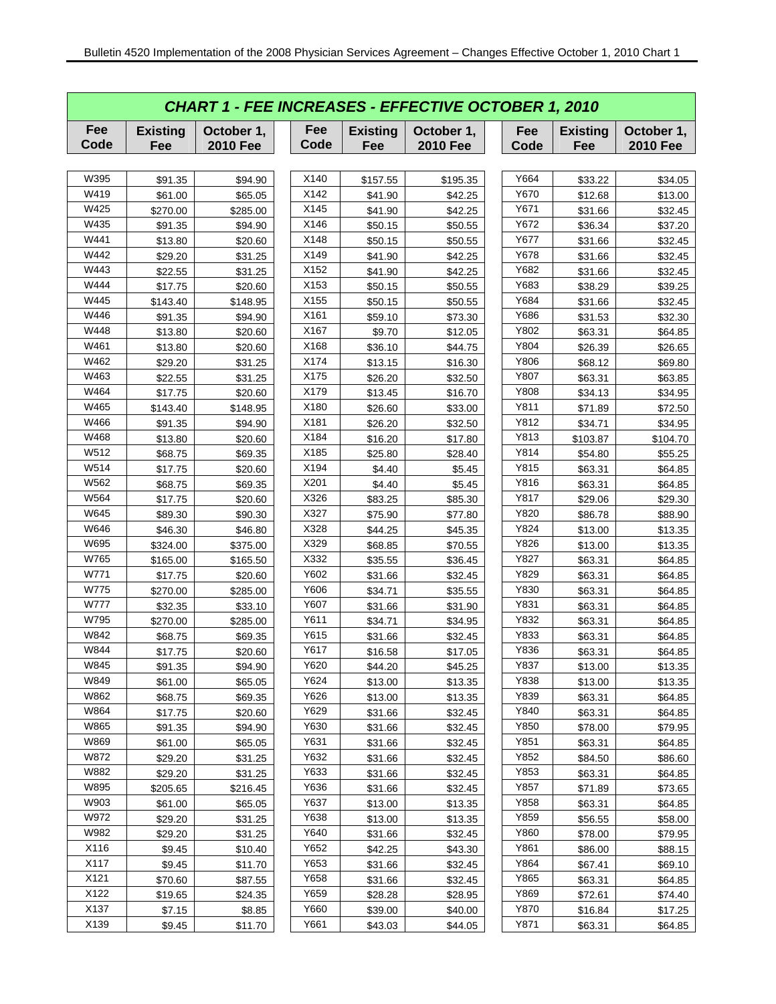|             | <b>CHART 1 - FEE INCREASES - EFFECTIVE OCTOBER 1, 2010</b> |                               |             |                        |                               |             |                        |                               |  |  |  |  |
|-------------|------------------------------------------------------------|-------------------------------|-------------|------------------------|-------------------------------|-------------|------------------------|-------------------------------|--|--|--|--|
| Fee<br>Code | <b>Existing</b><br>Fee                                     | October 1,<br><b>2010 Fee</b> | Fee<br>Code | <b>Existing</b><br>Fee | October 1,<br><b>2010 Fee</b> | Fee<br>Code | <b>Existing</b><br>Fee | October 1,<br><b>2010 Fee</b> |  |  |  |  |
|             |                                                            |                               |             |                        |                               |             |                        |                               |  |  |  |  |
| W395        | \$91.35                                                    | \$94.90                       | X140        | \$157.55               | \$195.35                      | Y664        | \$33.22                | \$34.05                       |  |  |  |  |
| W419        | \$61.00                                                    | \$65.05                       | X142        | \$41.90                | \$42.25                       | Y670        | \$12.68                | \$13.00                       |  |  |  |  |
| W425        | \$270.00                                                   | \$285.00                      | X145        | \$41.90                | \$42.25                       | Y671        | \$31.66                | \$32.45                       |  |  |  |  |
| W435        | \$91.35                                                    | \$94.90                       | X146        | \$50.15                | \$50.55                       | Y672        | \$36.34                | \$37.20                       |  |  |  |  |
| W441        | \$13.80                                                    | \$20.60                       | X148        | \$50.15                | \$50.55                       | Y677        | \$31.66                | \$32.45                       |  |  |  |  |
| W442        | \$29.20                                                    | \$31.25                       | X149        | \$41.90                | \$42.25                       | Y678        | \$31.66                | \$32.45                       |  |  |  |  |
| W443        | \$22.55                                                    | \$31.25                       | X152        | \$41.90                | \$42.25                       | Y682        | \$31.66                | \$32.45                       |  |  |  |  |
| W444        | \$17.75                                                    | \$20.60                       | X153        | \$50.15                | \$50.55                       | Y683        | \$38.29                | \$39.25                       |  |  |  |  |
| W445        | \$143.40                                                   | \$148.95                      | X155        | \$50.15                | \$50.55                       | Y684        | \$31.66                | \$32.45                       |  |  |  |  |
| W446        | \$91.35                                                    | \$94.90                       | X161        | \$59.10                | \$73.30                       | Y686        | \$31.53                | \$32.30                       |  |  |  |  |
| W448        | \$13.80                                                    | \$20.60                       | X167        | \$9.70                 | \$12.05                       | Y802        | \$63.31                | \$64.85                       |  |  |  |  |
| W461        | \$13.80                                                    | \$20.60                       | X168        | \$36.10                | \$44.75                       | Y804        | \$26.39                | \$26.65                       |  |  |  |  |
| W462        | \$29.20                                                    | \$31.25                       | X174        | \$13.15                | \$16.30                       | Y806        | \$68.12                | \$69.80                       |  |  |  |  |
| W463        | \$22.55                                                    | \$31.25                       | X175        | \$26.20                | \$32.50                       | Y807        | \$63.31                | \$63.85                       |  |  |  |  |
| W464        | \$17.75                                                    | \$20.60                       | X179        | \$13.45                | \$16.70                       | Y808        | \$34.13                | \$34.95                       |  |  |  |  |
| W465        | \$143.40                                                   | \$148.95                      | X180        | \$26.60                | \$33.00                       | Y811        | \$71.89                | \$72.50                       |  |  |  |  |
| W466        | \$91.35                                                    | \$94.90                       | X181        | \$26.20                | \$32.50                       | Y812        | \$34.71                | \$34.95                       |  |  |  |  |
| W468        | \$13.80                                                    | \$20.60                       | X184        | \$16.20                | \$17.80                       | Y813        | \$103.87               | \$104.70                      |  |  |  |  |
| W512        | \$68.75                                                    | \$69.35                       | X185        | \$25.80                | \$28.40                       | Y814        | \$54.80                | \$55.25                       |  |  |  |  |
| W514        | \$17.75                                                    | \$20.60                       | X194        | \$4.40                 | \$5.45                        | Y815        | \$63.31                | \$64.85                       |  |  |  |  |
| W562        | \$68.75                                                    | \$69.35                       | X201        | \$4.40                 | \$5.45                        | Y816        | \$63.31                | \$64.85                       |  |  |  |  |
| W564        | \$17.75                                                    | \$20.60                       | X326        | \$83.25                | \$85.30                       | Y817        | \$29.06                | \$29.30                       |  |  |  |  |
| W645        | \$89.30                                                    | \$90.30                       | X327        | \$75.90                | \$77.80                       | Y820        | \$86.78                | \$88.90                       |  |  |  |  |
| W646        | \$46.30                                                    | \$46.80                       | X328        | \$44.25                | \$45.35                       | Y824        | \$13.00                | \$13.35                       |  |  |  |  |
| W695        | \$324.00                                                   | \$375.00                      | X329        | \$68.85                | \$70.55                       | Y826        | \$13.00                | \$13.35                       |  |  |  |  |
| W765        | \$165.00                                                   | \$165.50                      | X332        | \$35.55                | \$36.45                       | Y827        | \$63.31                | \$64.85                       |  |  |  |  |
| W771        | \$17.75                                                    | \$20.60                       | Y602        | \$31.66                | \$32.45                       | Y829        | \$63.31                | \$64.85                       |  |  |  |  |
| W775        | \$270.00                                                   | \$285.00                      | Y606        | \$34.71                | \$35.55                       | Y830        | \$63.31                | \$64.85                       |  |  |  |  |
| W777        | \$32.35                                                    | \$33.10                       | Y607        | \$31.66                | \$31.90                       | Y831        | \$63.31                | \$64.85                       |  |  |  |  |
| W795        | \$270.00                                                   | \$285.00                      | Y611        | \$34.71                | \$34.95                       | Y832        | \$63.31                | \$64.85                       |  |  |  |  |
| W842        | \$68.75                                                    | \$69.35                       | Y615        | \$31.66                | \$32.45                       | Y833        | \$63.31                | \$64.85                       |  |  |  |  |
| W844        | \$17.75                                                    | \$20.60                       | Y617        | \$16.58                | \$17.05                       | Y836        | \$63.31                | \$64.85                       |  |  |  |  |
| W845        | \$91.35                                                    | \$94.90                       | Y620        | \$44.20                | \$45.25                       | Y837        | \$13.00                | \$13.35                       |  |  |  |  |
| W849        | \$61.00                                                    | \$65.05                       | Y624        | \$13.00                | \$13.35                       | Y838        | \$13.00                | \$13.35                       |  |  |  |  |
| W862        | \$68.75                                                    | \$69.35                       | Y626        | \$13.00                | \$13.35                       | Y839        | \$63.31                | \$64.85                       |  |  |  |  |
| W864        | \$17.75                                                    | \$20.60                       | Y629        | \$31.66                | \$32.45                       | Y840        | \$63.31                | \$64.85                       |  |  |  |  |
| W865        | \$91.35                                                    | \$94.90                       | Y630        | \$31.66                | \$32.45                       | Y850        | \$78.00                | \$79.95                       |  |  |  |  |
| W869        | \$61.00                                                    | \$65.05                       | Y631        | \$31.66                | \$32.45                       | Y851        | \$63.31                | \$64.85                       |  |  |  |  |
| W872        | \$29.20                                                    | \$31.25                       | Y632        | \$31.66                | \$32.45                       | Y852        | \$84.50                | \$86.60                       |  |  |  |  |
| W882        | \$29.20                                                    | \$31.25                       | Y633        | \$31.66                | \$32.45                       | Y853        | \$63.31                | \$64.85                       |  |  |  |  |
| W895        | \$205.65                                                   | \$216.45                      | Y636        | \$31.66                | \$32.45                       | Y857        | \$71.89                | \$73.65                       |  |  |  |  |
| W903        | \$61.00                                                    | \$65.05                       | Y637        | \$13.00                | \$13.35                       | Y858        | \$63.31                | \$64.85                       |  |  |  |  |
| W972        | \$29.20                                                    | \$31.25                       | Y638        | \$13.00                | \$13.35                       | Y859        | \$56.55                | \$58.00                       |  |  |  |  |
| W982        | \$29.20                                                    | \$31.25                       | Y640        | \$31.66                | \$32.45                       | Y860        | \$78.00                | \$79.95                       |  |  |  |  |
| X116        | \$9.45                                                     | \$10.40                       | Y652        | \$42.25                | \$43.30                       | Y861        | \$86.00                | \$88.15                       |  |  |  |  |
| X117        | \$9.45                                                     | \$11.70                       | Y653        | \$31.66                | \$32.45                       | Y864        | \$67.41                | \$69.10                       |  |  |  |  |
| X121        | \$70.60                                                    | \$87.55                       | Y658        | \$31.66                | \$32.45                       | Y865        | \$63.31                | \$64.85                       |  |  |  |  |
| X122        | \$19.65                                                    | \$24.35                       | Y659        | \$28.28                | \$28.95                       | Y869        | \$72.61                | \$74.40                       |  |  |  |  |
| X137        | \$7.15                                                     | \$8.85                        | Y660        | \$39.00                | \$40.00                       | Y870        | \$16.84                | \$17.25                       |  |  |  |  |
| X139        | \$9.45                                                     | \$11.70                       | Y661        | \$43.03                | \$44.05                       | Y871        | \$63.31                | \$64.85                       |  |  |  |  |